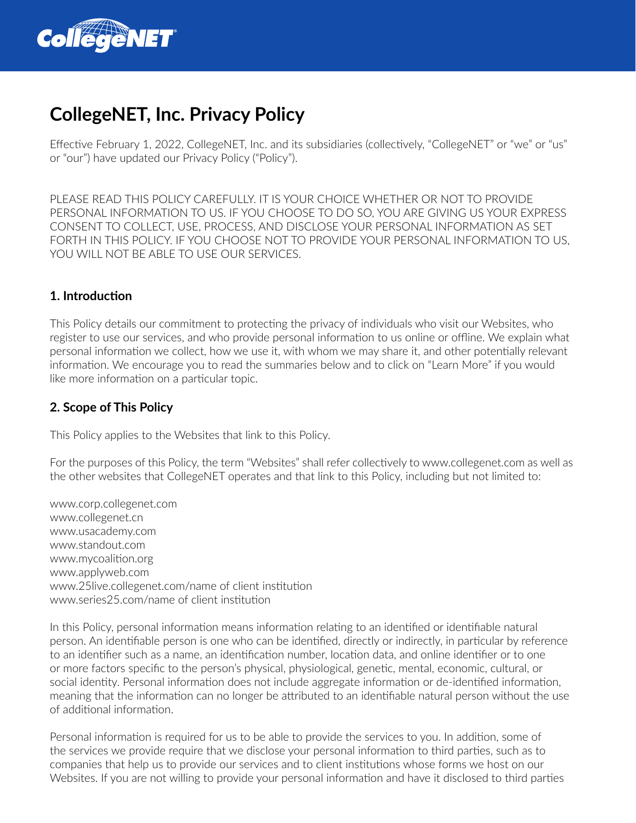

# **CollegeNET, Inc. Privacy Policy**

Effective February 1, 2022, CollegeNET, Inc. and its subsidiaries (collectively, "CollegeNET" or "we" or "us" or "our") have updated our Privacy Policy ("Policy").

PLEASE READ THIS POLICY CAREFULLY. IT IS YOUR CHOICE WHETHER OR NOT TO PROVIDE PERSONAL INFORMATION TO US. IF YOU CHOOSE TO DO SO, YOU ARE GIVING US YOUR EXPRESS CONSENT TO COLLECT, USE, PROCESS, AND DISCLOSE YOUR PERSONAL INFORMATION AS SET FORTH IN THIS POLICY. IF YOU CHOOSE NOT TO PROVIDE YOUR PERSONAL INFORMATION TO US, YOU WILL NOT BE ABLE TO USE OUR SERVICES.

### **1. Introduction**

This Policy details our commitment to protecting the privacy of individuals who visit our Websites, who register to use our services, and who provide personal information to us online or offline. We explain what personal information we collect, how we use it, with whom we may share it, and other potentially relevant information. We encourage you to read the summaries below and to click on "Learn More" if you would like more information on a particular topic.

# **2. Scope of This Policy**

This Policy applies to the Websites that link to this Policy.

For the purposes of this Policy, the term "Websites" shall refer collectively to www.collegenet.com as well as the other websites that CollegeNET operates and that link to this Policy, including but not limited to:

www.corp.collegenet.com www.collegenet.cn www.usacademy.com www.standout.com www.mycoalition.org www.applyweb.com www.25live.collegenet.com/name of client institution www.series25.com/name of client institution

In this Policy, personal information means information relating to an identified or identifiable natural person. An identifiable person is one who can be identified, directly or indirectly, in particular by reference to an identifier such as a name, an identification number, location data, and online identifier or to one or more factors specific to the person's physical, physiological, genetic, mental, economic, cultural, or social identity. Personal information does not include aggregate information or de-identified information, meaning that the information can no longer be attributed to an identifiable natural person without the use of additional information.

Personal information is required for us to be able to provide the services to you. In addition, some of the services we provide require that we disclose your personal information to third parties, such as to companies that help us to provide our services and to client institutions whose forms we host on our Websites. If you are not willing to provide your personal information and have it disclosed to third parties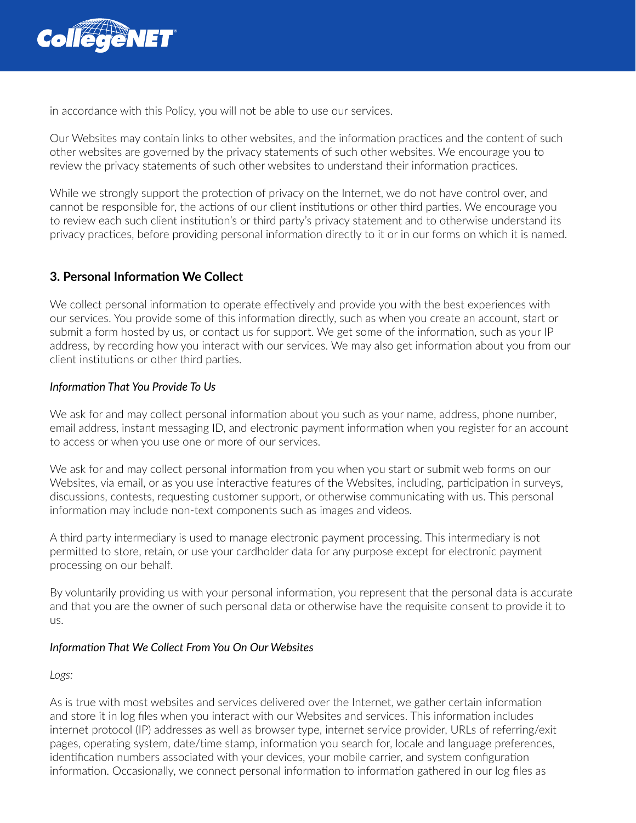

in accordance with this Policy, you will not be able to use our services.

Our Websites may contain links to other websites, and the information practices and the content of such other websites are governed by the privacy statements of such other websites. We encourage you to review the privacy statements of such other websites to understand their information practices.

While we strongly support the protection of privacy on the Internet, we do not have control over, and cannot be responsible for, the actions of our client institutions or other third parties. We encourage you to review each such client institution's or third party's privacy statement and to otherwise understand its privacy practices, before providing personal information directly to it or in our forms on which it is named.

# **3. Personal Information We Collect**

We collect personal information to operate effectively and provide you with the best experiences with our services. You provide some of this information directly, such as when you create an account, start or submit a form hosted by us, or contact us for support. We get some of the information, such as your IP address, by recording how you interact with our services. We may also get information about you from our client institutions or other third parties.

### *Information That You Provide To Us*

We ask for and may collect personal information about you such as your name, address, phone number, email address, instant messaging ID, and electronic payment information when you register for an account to access or when you use one or more of our services.

We ask for and may collect personal information from you when you start or submit web forms on our Websites, via email, or as you use interactive features of the Websites, including, participation in surveys, discussions, contests, requesting customer support, or otherwise communicating with us. This personal information may include non-text components such as images and videos.

A third party intermediary is used to manage electronic payment processing. This intermediary is not permitted to store, retain, or use your cardholder data for any purpose except for electronic payment processing on our behalf.

By voluntarily providing us with your personal information, you represent that the personal data is accurate and that you are the owner of such personal data or otherwise have the requisite consent to provide it to us.

### *Information That We Collect From You On Our Websites*

*Logs:*

As is true with most websites and services delivered over the Internet, we gather certain information and store it in log files when you interact with our Websites and services. This information includes internet protocol (IP) addresses as well as browser type, internet service provider, URLs of referring/exit pages, operating system, date/time stamp, information you search for, locale and language preferences, identification numbers associated with your devices, your mobile carrier, and system configuration information. Occasionally, we connect personal information to information gathered in our log files as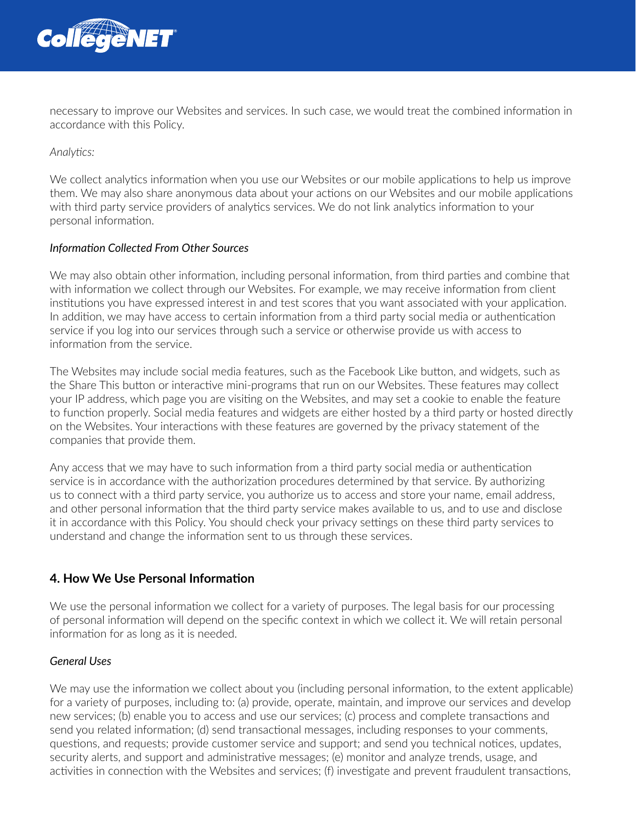

necessary to improve our Websites and services. In such case, we would treat the combined information in accordance with this Policy.

*Analytics:*

We collect analytics information when you use our Websites or our mobile applications to help us improve them. We may also share anonymous data about your actions on our Websites and our mobile applications with third party service providers of analytics services. We do not link analytics information to your personal information.

### *Information Collected From Other Sources*

We may also obtain other information, including personal information, from third parties and combine that with information we collect through our Websites. For example, we may receive information from client institutions you have expressed interest in and test scores that you want associated with your application. In addition, we may have access to certain information from a third party social media or authentication service if you log into our services through such a service or otherwise provide us with access to information from the service.

The Websites may include social media features, such as the Facebook Like button, and widgets, such as the Share This button or interactive mini-programs that run on our Websites. These features may collect your IP address, which page you are visiting on the Websites, and may set a cookie to enable the feature to function properly. Social media features and widgets are either hosted by a third party or hosted directly on the Websites. Your interactions with these features are governed by the privacy statement of the companies that provide them.

Any access that we may have to such information from a third party social media or authentication service is in accordance with the authorization procedures determined by that service. By authorizing us to connect with a third party service, you authorize us to access and store your name, email address, and other personal information that the third party service makes available to us, and to use and disclose it in accordance with this Policy. You should check your privacy settings on these third party services to understand and change the information sent to us through these services.

## **4. How We Use Personal Information**

We use the personal information we collect for a variety of purposes. The legal basis for our processing of personal information will depend on the specific context in which we collect it. We will retain personal information for as long as it is needed.

### *General Uses*

We may use the information we collect about you (including personal information, to the extent applicable) for a variety of purposes, including to: (a) provide, operate, maintain, and improve our services and develop new services; (b) enable you to access and use our services; (c) process and complete transactions and send you related information; (d) send transactional messages, including responses to your comments, questions, and requests; provide customer service and support; and send you technical notices, updates, security alerts, and support and administrative messages; (e) monitor and analyze trends, usage, and activities in connection with the Websites and services; (f) investigate and prevent fraudulent transactions,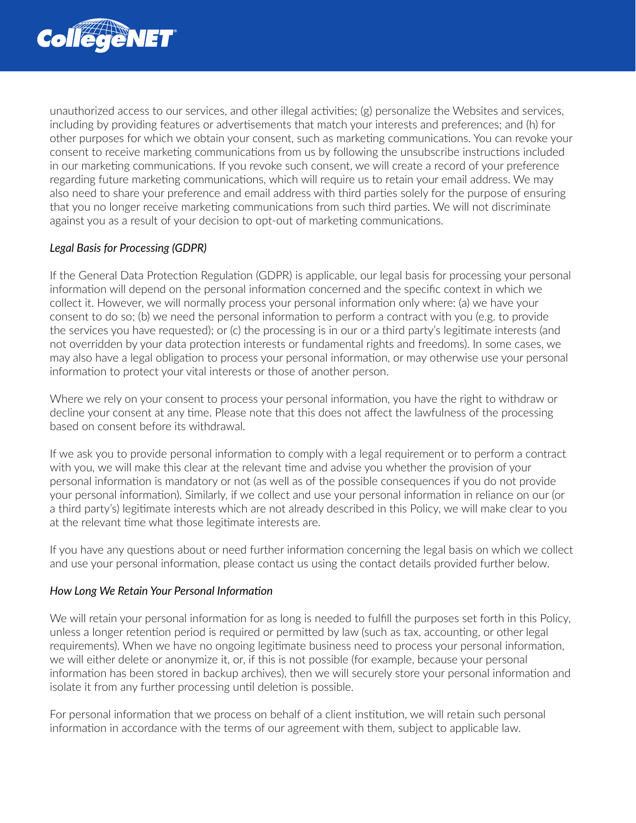

unauthorized access to our services, and other illegal activities; (g) personalize the Websites and services, including by providing features or advertisements that match your interests and preferences; and (h) for other purposes for which we obtain your consent, such as marketing communications. You can revoke your consent to receive marketing communications from us by following the unsubscribe instructions included in our marketing communications. If you revoke such consent, we will create a record of your preference regarding future marketing communications, which will require us to retain your email address. We may also need to share your preference and email address with third parties solely for the purpose of ensuring that you no longer receive marketing communications from such third parties. We will not discriminate against you as a result of your decision to opt-out of marketing communications.

### *Legal Basis for Processing (GDPR)*

If the General Data Protection Regulation (GDPR) is applicable, our legal basis for processing your personal information will depend on the personal information concerned and the specific context in which we collect it. However, we will normally process your personal information only where: (a) we have your consent to do so; (b) we need the personal information to perform a contract with you (e.g. to provide the services you have requested); or (c) the processing is in our or a third party's legitimate interests (and not overridden by your data protection interests or fundamental rights and freedoms). In some cases, we may also have a legal obligation to process your personal information, or may otherwise use your personal information to protect your vital interests or those of another person.

Where we rely on your consent to process your personal information, you have the right to withdraw or decline your consent at any time. Please note that this does not affect the lawfulness of the processing based on consent before its withdrawal.

If we ask you to provide personal information to comply with a legal requirement or to perform a contract with you, we will make this clear at the relevant time and advise you whether the provision of your personal information is mandatory or not (as well as of the possible consequences if you do not provide your personal information). Similarly, if we collect and use your personal information in reliance on our (or a third party's) legitimate interests which are not already described in this Policy, we will make clear to you at the relevant time what those legitimate interests are.

If you have any questions about or need further information concerning the legal basis on which we collect and use your personal information, please contact us using the contact details provided further below.

### *How Long We Retain Your Personal Information*

We will retain your personal information for as long is needed to fulfill the purposes set forth in this Policy, unless a longer retention period is required or permitted by law (such as tax, accounting, or other legal requirements). When we have no ongoing legitimate business need to process your personal information, we will either delete or anonymize it, or, if this is not possible (for example, because your personal information has been stored in backup archives), then we will securely store your personal information and isolate it from any further processing until deletion is possible.

For personal information that we process on behalf of a client institution, we will retain such personal information in accordance with the terms of our agreement with them, subject to applicable law.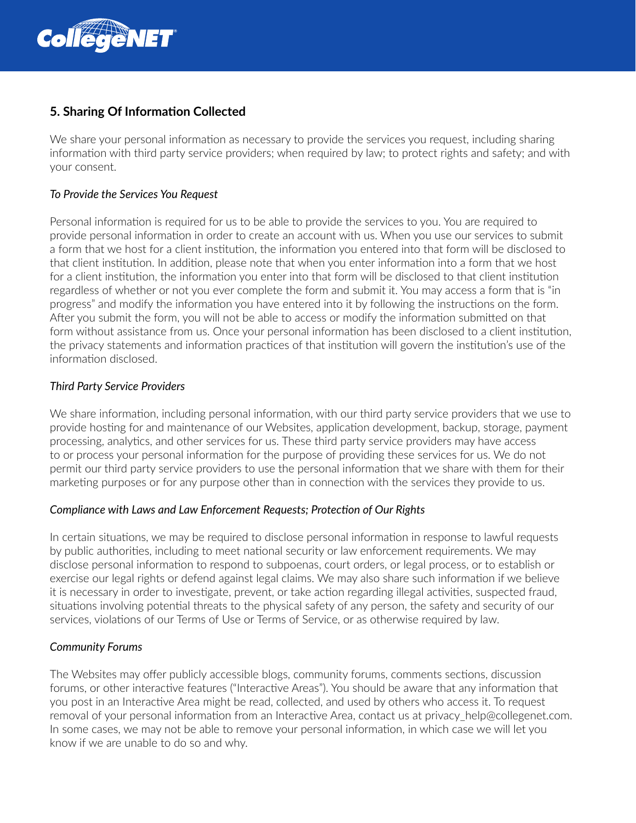

# **5. Sharing Of Information Collected**

We share your personal information as necessary to provide the services you request, including sharing information with third party service providers; when required by law; to protect rights and safety; and with your consent.

### *To Provide the Services You Request*

Personal information is required for us to be able to provide the services to you. You are required to provide personal information in order to create an account with us. When you use our services to submit a form that we host for a client institution, the information you entered into that form will be disclosed to that client institution. In addition, please note that when you enter information into a form that we host for a client institution, the information you enter into that form will be disclosed to that client institution regardless of whether or not you ever complete the form and submit it. You may access a form that is "in progress" and modify the information you have entered into it by following the instructions on the form. After you submit the form, you will not be able to access or modify the information submitted on that form without assistance from us. Once your personal information has been disclosed to a client institution, the privacy statements and information practices of that institution will govern the institution's use of the information disclosed.

#### *Third Party Service Providers*

We share information, including personal information, with our third party service providers that we use to provide hosting for and maintenance of our Websites, application development, backup, storage, payment processing, analytics, and other services for us. These third party service providers may have access to or process your personal information for the purpose of providing these services for us. We do not permit our third party service providers to use the personal information that we share with them for their marketing purposes or for any purpose other than in connection with the services they provide to us.

#### *Compliance with Laws and Law Enforcement Requests; Protection of Our Rights*

In certain situations, we may be required to disclose personal information in response to lawful requests by public authorities, including to meet national security or law enforcement requirements. We may disclose personal information to respond to subpoenas, court orders, or legal process, or to establish or exercise our legal rights or defend against legal claims. We may also share such information if we believe it is necessary in order to investigate, prevent, or take action regarding illegal activities, suspected fraud, situations involving potential threats to the physical safety of any person, the safety and security of our services, violations of our Terms of Use or Terms of Service, or as otherwise required by law.

### *Community Forums*

The Websites may offer publicly accessible blogs, community forums, comments sections, discussion forums, or other interactive features ("Interactive Areas"). You should be aware that any information that you post in an Interactive Area might be read, collected, and used by others who access it. To request removal of your personal information from an Interactive Area, contact us at privacy help@collegenet.com. In some cases, we may not be able to remove your personal information, in which case we will let you know if we are unable to do so and why.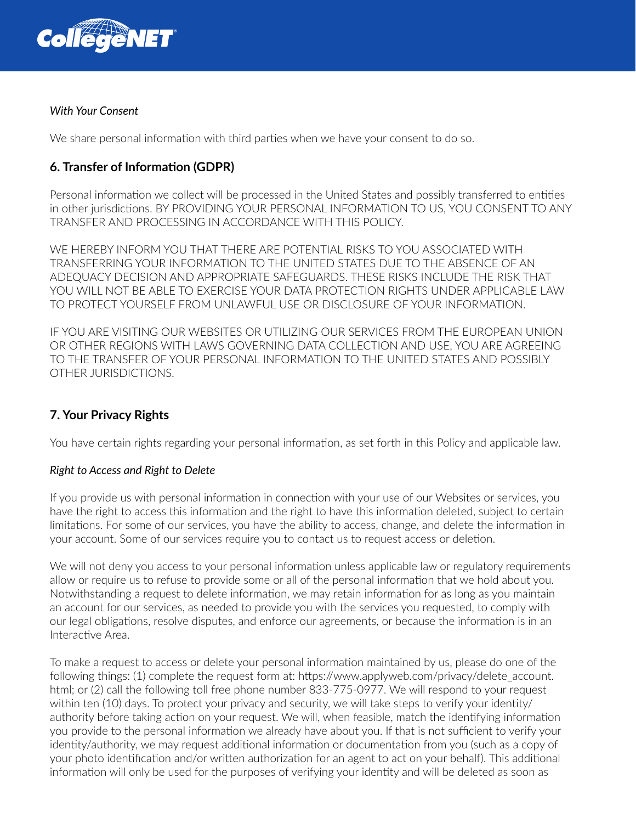

### *With Your Consent*

We share personal information with third parties when we have your consent to do so.

# **6. Transfer of Information (GDPR)**

Personal information we collect will be processed in the United States and possibly transferred to entities in other jurisdictions. BY PROVIDING YOUR PERSONAL INFORMATION TO US, YOU CONSENT TO ANY TRANSFER AND PROCESSING IN ACCORDANCE WITH THIS POLICY.

WE HEREBY INFORM YOU THAT THERE ARE POTENTIAL RISKS TO YOU ASSOCIATED WITH TRANSFERRING YOUR INFORMATION TO THE UNITED STATES DUE TO THE ABSENCE OF AN ADEQUACY DECISION AND APPROPRIATE SAFEGUARDS. THESE RISKS INCLUDE THE RISK THAT YOU WILL NOT BE ABLE TO EXERCISE YOUR DATA PROTECTION RIGHTS UNDER APPLICABLE LAW TO PROTECT YOURSELF FROM UNLAWFUL USE OR DISCLOSURE OF YOUR INFORMATION.

IF YOU ARE VISITING OUR WEBSITES OR UTILIZING OUR SERVICES FROM THE EUROPEAN UNION OR OTHER REGIONS WITH LAWS GOVERNING DATA COLLECTION AND USE, YOU ARE AGREEING TO THE TRANSFER OF YOUR PERSONAL INFORMATION TO THE UNITED STATES AND POSSIBLY OTHER JURISDICTIONS.

# **7. Your Privacy Rights**

You have certain rights regarding your personal information, as set forth in this Policy and applicable law.

### *Right to Access and Right to Delete*

If you provide us with personal information in connection with your use of our Websites or services, you have the right to access this information and the right to have this information deleted, subject to certain limitations. For some of our services, you have the ability to access, change, and delete the information in your account. Some of our services require you to contact us to request access or deletion.

We will not deny you access to your personal information unless applicable law or regulatory requirements allow or require us to refuse to provide some or all of the personal information that we hold about you. Notwithstanding a request to delete information, we may retain information for as long as you maintain an account for our services, as needed to provide you with the services you requested, to comply with our legal obligations, resolve disputes, and enforce our agreements, or because the information is in an Interactive Area.

To make a request to access or delete your personal information maintained by us, please do one of the following things: (1) complete the request form at: https://www.applyweb.com/privacy/delete account. html; or (2) call the following toll free phone number 833-775-0977. We will respond to your request within ten (10) days. To protect your privacy and security, we will take steps to verify your identity/ authority before taking action on your request. We will, when feasible, match the identifying information you provide to the personal information we already have about you. If that is not sufficient to verify your identity/authority, we may request additional information or documentation from you (such as a copy of your photo identification and/or written authorization for an agent to act on your behalf). This additional information will only be used for the purposes of verifying your identity and will be deleted as soon as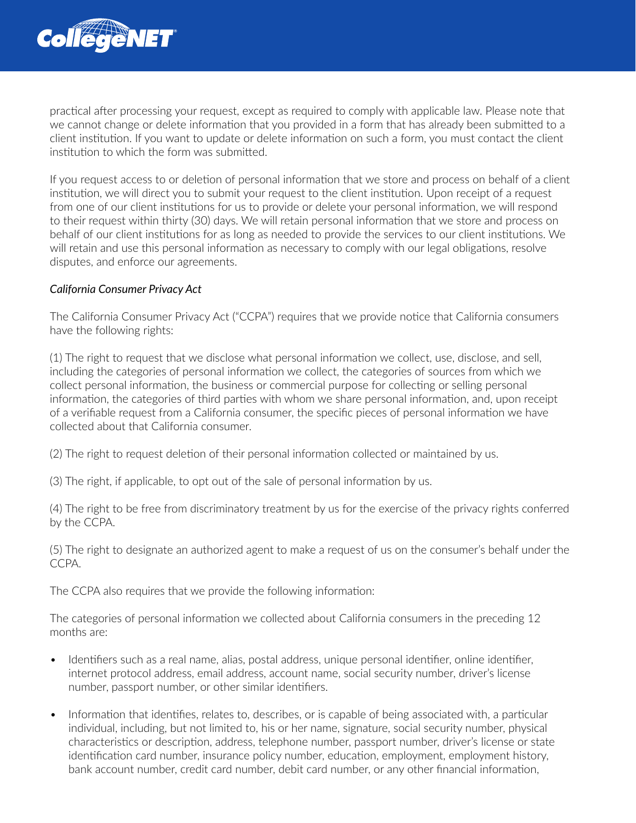

practical after processing your request, except as required to comply with applicable law. Please note that we cannot change or delete information that you provided in a form that has already been submitted to a client institution. If you want to update or delete information on such a form, you must contact the client institution to which the form was submitted.

If you request access to or deletion of personal information that we store and process on behalf of a client institution, we will direct you to submit your request to the client institution. Upon receipt of a request from one of our client institutions for us to provide or delete your personal information, we will respond to their request within thirty (30) days. We will retain personal information that we store and process on behalf of our client institutions for as long as needed to provide the services to our client institutions. We will retain and use this personal information as necessary to comply with our legal obligations, resolve disputes, and enforce our agreements.

#### *California Consumer Privacy Act*

The California Consumer Privacy Act ("CCPA") requires that we provide notice that California consumers have the following rights:

(1) The right to request that we disclose what personal information we collect, use, disclose, and sell, including the categories of personal information we collect, the categories of sources from which we collect personal information, the business or commercial purpose for collecting or selling personal information, the categories of third parties with whom we share personal information, and, upon receipt of a verifiable request from a California consumer, the specific pieces of personal information we have collected about that California consumer.

(2) The right to request deletion of their personal information collected or maintained by us.

(3) The right, if applicable, to opt out of the sale of personal information by us.

(4) The right to be free from discriminatory treatment by us for the exercise of the privacy rights conferred by the CCPA.

(5) The right to designate an authorized agent to make a request of us on the consumer's behalf under the CCPA.

The CCPA also requires that we provide the following information:

The categories of personal information we collected about California consumers in the preceding 12 months are:

- Identifiers such as a real name, alias, postal address, unique personal identifier, online identifier, internet protocol address, email address, account name, social security number, driver's license number, passport number, or other similar identifiers.
- Information that identifies, relates to, describes, or is capable of being associated with, a particular individual, including, but not limited to, his or her name, signature, social security number, physical characteristics or description, address, telephone number, passport number, driver's license or state identification card number, insurance policy number, education, employment, employment history, bank account number, credit card number, debit card number, or any other financial information,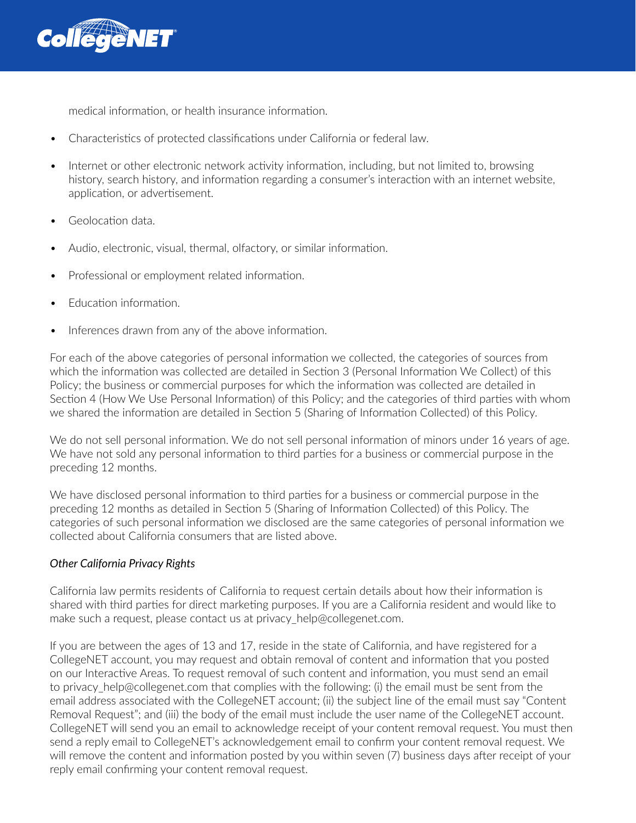

medical information, or health insurance information.

- Characteristics of protected classifications under California or federal law.
- Internet or other electronic network activity information, including, but not limited to, browsing history, search history, and information regarding a consumer's interaction with an internet website, application, or advertisement.
- Geolocation data.
- Audio, electronic, visual, thermal, olfactory, or similar information.
- Professional or employment related information.
- Education information.
- Inferences drawn from any of the above information.

For each of the above categories of personal information we collected, the categories of sources from which the information was collected are detailed in Section 3 (Personal Information We Collect) of this Policy; the business or commercial purposes for which the information was collected are detailed in Section 4 (How We Use Personal Information) of this Policy; and the categories of third parties with whom we shared the information are detailed in Section 5 (Sharing of Information Collected) of this Policy.

We do not sell personal information. We do not sell personal information of minors under 16 years of age. We have not sold any personal information to third parties for a business or commercial purpose in the preceding 12 months.

We have disclosed personal information to third parties for a business or commercial purpose in the preceding 12 months as detailed in Section 5 (Sharing of Information Collected) of this Policy. The categories of such personal information we disclosed are the same categories of personal information we collected about California consumers that are listed above.

#### *Other California Privacy Rights*

California law permits residents of California to request certain details about how their information is shared with third parties for direct marketing purposes. If you are a California resident and would like to make such a request, please contact us at privacy help@collegenet.com.

If you are between the ages of 13 and 17, reside in the state of California, and have registered for a CollegeNET account, you may request and obtain removal of content and information that you posted on our Interactive Areas. To request removal of such content and information, you must send an email to privacy help@collegenet.com that complies with the following: (i) the email must be sent from the email address associated with the CollegeNET account; (ii) the subject line of the email must say "Content Removal Request"; and (iii) the body of the email must include the user name of the CollegeNET account. CollegeNET will send you an email to acknowledge receipt of your content removal request. You must then send a reply email to CollegeNET's acknowledgement email to confirm your content removal request. We will remove the content and information posted by you within seven (7) business days after receipt of your reply email confirming your content removal request.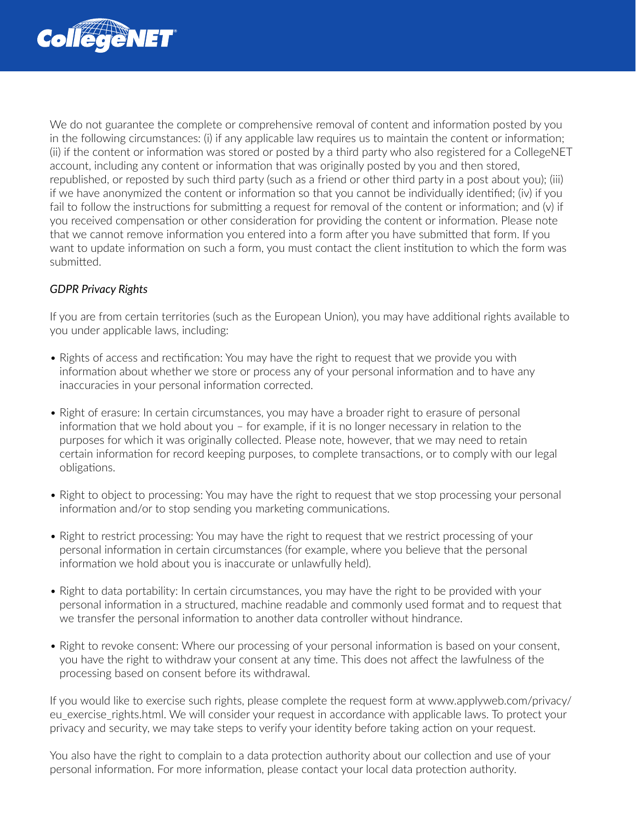

We do not guarantee the complete or comprehensive removal of content and information posted by you in the following circumstances: (i) if any applicable law requires us to maintain the content or information; (ii) if the content or information was stored or posted by a third party who also registered for a CollegeNET account, including any content or information that was originally posted by you and then stored, republished, or reposted by such third party (such as a friend or other third party in a post about you); (iii) if we have anonymized the content or information so that you cannot be individually identified; (iv) if you fail to follow the instructions for submitting a request for removal of the content or information; and (v) if you received compensation or other consideration for providing the content or information. Please note that we cannot remove information you entered into a form after you have submitted that form. If you want to update information on such a form, you must contact the client institution to which the form was submitted.

### *GDPR Privacy Rights*

If you are from certain territories (such as the European Union), you may have additional rights available to you under applicable laws, including:

- Rights of access and rectification: You may have the right to request that we provide you with information about whether we store or process any of your personal information and to have any inaccuracies in your personal information corrected.
- Right of erasure: In certain circumstances, you may have a broader right to erasure of personal information that we hold about you – for example, if it is no longer necessary in relation to the purposes for which it was originally collected. Please note, however, that we may need to retain certain information for record keeping purposes, to complete transactions, or to comply with our legal obligations.
- Right to object to processing: You may have the right to request that we stop processing your personal information and/or to stop sending you marketing communications.
- Right to restrict processing: You may have the right to request that we restrict processing of your personal information in certain circumstances (for example, where you believe that the personal information we hold about you is inaccurate or unlawfully held).
- Right to data portability: In certain circumstances, you may have the right to be provided with your personal information in a structured, machine readable and commonly used format and to request that we transfer the personal information to another data controller without hindrance.
- Right to revoke consent: Where our processing of your personal information is based on your consent, you have the right to withdraw your consent at any time. This does not affect the lawfulness of the processing based on consent before its withdrawal.

If you would like to exercise such rights, please complete the request form at www.applyweb.com/privacy/ eu\_exercise\_rights.html. We will consider your request in accordance with applicable laws. To protect your privacy and security, we may take steps to verify your identity before taking action on your request.

You also have the right to complain to a data protection authority about our collection and use of your personal information. For more information, please contact your local data protection authority.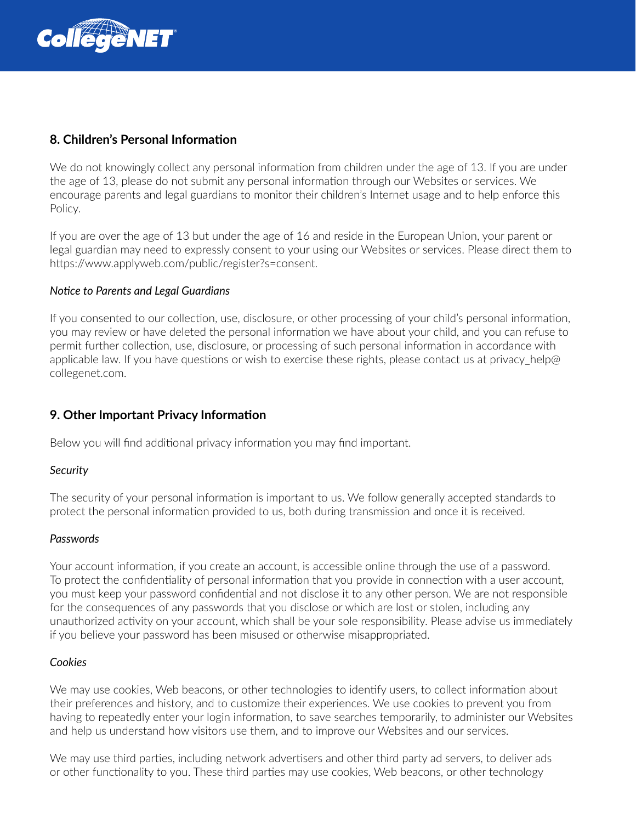

# **8. Children's Personal Information**

We do not knowingly collect any personal information from children under the age of 13. If you are under the age of 13, please do not submit any personal information through our Websites or services. We encourage parents and legal guardians to monitor their children's Internet usage and to help enforce this Policy.

If you are over the age of 13 but under the age of 16 and reside in the European Union, your parent or legal guardian may need to expressly consent to your using our Websites or services. Please direct them to https://www.applyweb.com/public/register?s=consent.

### *Notice to Parents and Legal Guardians*

If you consented to our collection, use, disclosure, or other processing of your child's personal information, you may review or have deleted the personal information we have about your child, and you can refuse to permit further collection, use, disclosure, or processing of such personal information in accordance with applicable law. If you have questions or wish to exercise these rights, please contact us at privacy\_help@ collegenet.com.

## **9. Other Important Privacy Information**

Below you will find additional privacy information you may find important.

### *Security*

The security of your personal information is important to us. We follow generally accepted standards to protect the personal information provided to us, both during transmission and once it is received.

### *Passwords*

Your account information, if you create an account, is accessible online through the use of a password. To protect the confidentiality of personal information that you provide in connection with a user account, you must keep your password confidential and not disclose it to any other person. We are not responsible for the consequences of any passwords that you disclose or which are lost or stolen, including any unauthorized activity on your account, which shall be your sole responsibility. Please advise us immediately if you believe your password has been misused or otherwise misappropriated.

### *Cookies*

We may use cookies, Web beacons, or other technologies to identify users, to collect information about their preferences and history, and to customize their experiences. We use cookies to prevent you from having to repeatedly enter your login information, to save searches temporarily, to administer our Websites and help us understand how visitors use them, and to improve our Websites and our services.

We may use third parties, including network advertisers and other third party ad servers, to deliver ads or other functionality to you. These third parties may use cookies, Web beacons, or other technology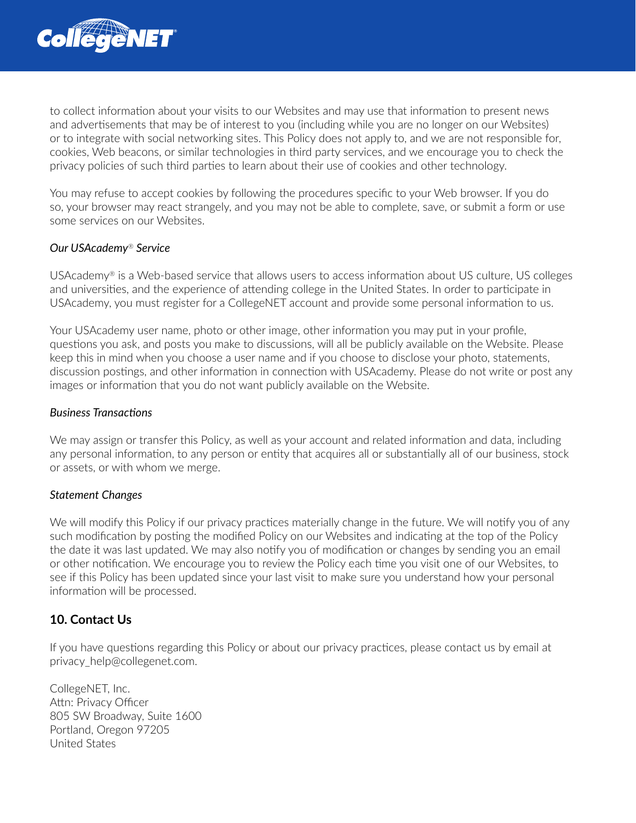

to collect information about your visits to our Websites and may use that information to present news and advertisements that may be of interest to you (including while you are no longer on our Websites) or to integrate with social networking sites. This Policy does not apply to, and we are not responsible for, cookies, Web beacons, or similar technologies in third party services, and we encourage you to check the privacy policies of such third parties to learn about their use of cookies and other technology.

You may refuse to accept cookies by following the procedures specific to your Web browser. If you do so, your browser may react strangely, and you may not be able to complete, save, or submit a form or use some services on our Websites.

#### *Our USAcademy*® *Service*

USAcademy® is a Web-based service that allows users to access information about US culture, US colleges and universities, and the experience of attending college in the United States. In order to participate in USAcademy, you must register for a CollegeNET account and provide some personal information to us.

Your USAcademy user name, photo or other image, other information you may put in your profile, questions you ask, and posts you make to discussions, will all be publicly available on the Website. Please keep this in mind when you choose a user name and if you choose to disclose your photo, statements, discussion postings, and other information in connection with USAcademy. Please do not write or post any images or information that you do not want publicly available on the Website.

#### *Business Transactions*

We may assign or transfer this Policy, as well as your account and related information and data, including any personal information, to any person or entity that acquires all or substantially all of our business, stock or assets, or with whom we merge.

### *Statement Changes*

We will modify this Policy if our privacy practices materially change in the future. We will notify you of any such modification by posting the modified Policy on our Websites and indicating at the top of the Policy the date it was last updated. We may also notify you of modification or changes by sending you an email or other notification. We encourage you to review the Policy each time you visit one of our Websites, to see if this Policy has been updated since your last visit to make sure you understand how your personal information will be processed.

## **10. Contact Us**

If you have questions regarding this Policy or about our privacy practices, please contact us by email at privacy\_help@collegenet.com.

CollegeNET, Inc. Attn: Privacy Officer 805 SW Broadway, Suite 1600 Portland, Oregon 97205 United States